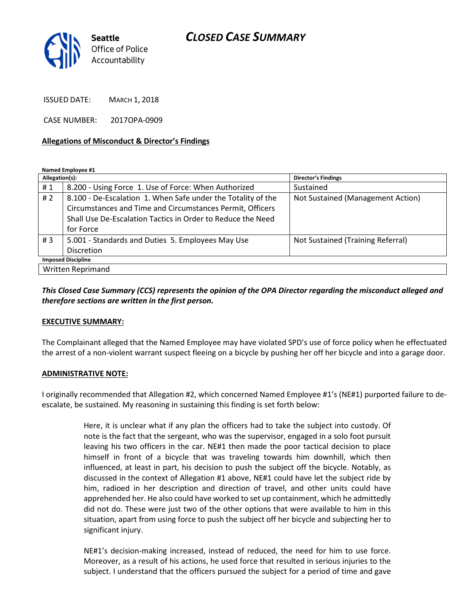

ISSUED DATE: MARCH 1, 2018

CASE NUMBER: 2017OPA-0909

#### Allegations of Misconduct & Director's Findings

Named Employee #1

| Allegation(s):            |                                                              | <b>Director's Findings</b>        |
|---------------------------|--------------------------------------------------------------|-----------------------------------|
| #1                        | 8.200 - Using Force 1. Use of Force: When Authorized         | Sustained                         |
| #2                        | 8.100 - De-Escalation 1. When Safe under the Totality of the | Not Sustained (Management Action) |
|                           | Circumstances and Time and Circumstances Permit, Officers    |                                   |
|                           | Shall Use De-Escalation Tactics in Order to Reduce the Need  |                                   |
|                           | for Force                                                    |                                   |
| #3                        | 5.001 - Standards and Duties 5. Employees May Use            | Not Sustained (Training Referral) |
|                           | <b>Discretion</b>                                            |                                   |
| <b>Imposed Discipline</b> |                                                              |                                   |
| Written Reprimand         |                                                              |                                   |

This Closed Case Summary (CCS) represents the opinion of the OPA Director regarding the misconduct alleged and therefore sections are written in the first person.

#### EXECUTIVE SUMMARY:

The Complainant alleged that the Named Employee may have violated SPD's use of force policy when he effectuated the arrest of a non-violent warrant suspect fleeing on a bicycle by pushing her off her bicycle and into a garage door.

#### ADMINISTRATIVE NOTE:

I originally recommended that Allegation #2, which concerned Named Employee #1's (NE#1) purported failure to deescalate, be sustained. My reasoning in sustaining this finding is set forth below:

> Here, it is unclear what if any plan the officers had to take the subject into custody. Of note is the fact that the sergeant, who was the supervisor, engaged in a solo foot pursuit leaving his two officers in the car. NE#1 then made the poor tactical decision to place himself in front of a bicycle that was traveling towards him downhill, which then influenced, at least in part, his decision to push the subject off the bicycle. Notably, as discussed in the context of Allegation #1 above, NE#1 could have let the subject ride by him, radioed in her description and direction of travel, and other units could have apprehended her. He also could have worked to set up containment, which he admittedly did not do. These were just two of the other options that were available to him in this situation, apart from using force to push the subject off her bicycle and subjecting her to significant injury.

> NE#1's decision-making increased, instead of reduced, the need for him to use force. Moreover, as a result of his actions, he used force that resulted in serious injuries to the subject. I understand that the officers pursued the subject for a period of time and gave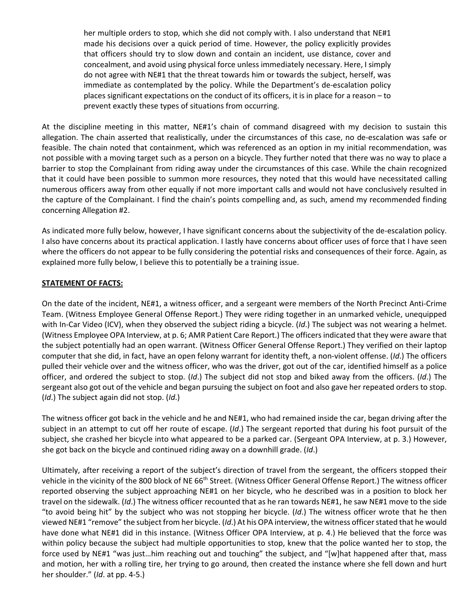her multiple orders to stop, which she did not comply with. I also understand that NE#1 made his decisions over a quick period of time. However, the policy explicitly provides that officers should try to slow down and contain an incident, use distance, cover and concealment, and avoid using physical force unless immediately necessary. Here, I simply do not agree with NE#1 that the threat towards him or towards the subject, herself, was immediate as contemplated by the policy. While the Department's de-escalation policy places significant expectations on the conduct of its officers, it is in place for a reason – to prevent exactly these types of situations from occurring.

At the discipline meeting in this matter, NE#1's chain of command disagreed with my decision to sustain this allegation. The chain asserted that realistically, under the circumstances of this case, no de-escalation was safe or feasible. The chain noted that containment, which was referenced as an option in my initial recommendation, was not possible with a moving target such as a person on a bicycle. They further noted that there was no way to place a barrier to stop the Complainant from riding away under the circumstances of this case. While the chain recognized that it could have been possible to summon more resources, they noted that this would have necessitated calling numerous officers away from other equally if not more important calls and would not have conclusively resulted in the capture of the Complainant. I find the chain's points compelling and, as such, amend my recommended finding concerning Allegation #2.

As indicated more fully below, however, I have significant concerns about the subjectivity of the de-escalation policy. I also have concerns about its practical application. I lastly have concerns about officer uses of force that I have seen where the officers do not appear to be fully considering the potential risks and consequences of their force. Again, as explained more fully below, I believe this to potentially be a training issue.

# STATEMENT OF FACTS:

On the date of the incident, NE#1, a witness officer, and a sergeant were members of the North Precinct Anti-Crime Team. (Witness Employee General Offense Report.) They were riding together in an unmarked vehicle, unequipped with In-Car Video (ICV), when they observed the subject riding a bicycle. (Id.) The subject was not wearing a helmet. (Witness Employee OPA Interview, at p. 6; AMR Patient Care Report.) The officers indicated that they were aware that the subject potentially had an open warrant. (Witness Officer General Offense Report.) They verified on their laptop computer that she did, in fact, have an open felony warrant for identity theft, a non-violent offense. (Id.) The officers pulled their vehicle over and the witness officer, who was the driver, got out of the car, identified himself as a police officer, and ordered the subject to stop. (Id.) The subject did not stop and biked away from the officers. (Id.) The sergeant also got out of the vehicle and began pursuing the subject on foot and also gave her repeated orders to stop.  $(Id.)$  The subject again did not stop.  $(Id.)$ 

The witness officer got back in the vehicle and he and NE#1, who had remained inside the car, began driving after the subject in an attempt to cut off her route of escape. (Id.) The sergeant reported that during his foot pursuit of the subject, she crashed her bicycle into what appeared to be a parked car. (Sergeant OPA Interview, at p. 3.) However, she got back on the bicycle and continued riding away on a downhill grade.  $(id.)$ 

Ultimately, after receiving a report of the subject's direction of travel from the sergeant, the officers stopped their vehicle in the vicinity of the 800 block of NE 66<sup>th</sup> Street. (Witness Officer General Offense Report.) The witness officer reported observing the subject approaching NE#1 on her bicycle, who he described was in a position to block her travel on the sidewalk. (Id.) The witness officer recounted that as he ran towards NE#1, he saw NE#1 move to the side "to avoid being hit" by the subject who was not stopping her bicycle. (Id.) The witness officer wrote that he then viewed NE#1 "remove" the subject from her bicycle. (Id.) At his OPA interview, the witness officer stated that he would have done what NE#1 did in this instance. (Witness Officer OPA Interview, at p. 4.) He believed that the force was within policy because the subject had multiple opportunities to stop, knew that the police wanted her to stop, the force used by NE#1 "was just…him reaching out and touching" the subject, and "[w]hat happened after that, mass and motion, her with a rolling tire, her trying to go around, then created the instance where she fell down and hurt her shoulder." (Id. at pp. 4-5.)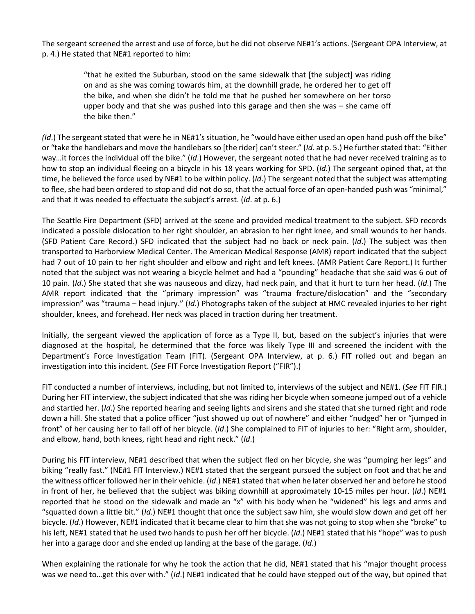The sergeant screened the arrest and use of force, but he did not observe NE#1's actions. (Sergeant OPA Interview, at p. 4.) He stated that NE#1 reported to him:

> "that he exited the Suburban, stood on the same sidewalk that [the subject] was riding on and as she was coming towards him, at the downhill grade, he ordered her to get off the bike, and when she didn't he told me that he pushed her somewhere on her torso upper body and that she was pushed into this garage and then she was – she came off the bike then."

(Id.) The sergeant stated that were he in NE#1's situation, he "would have either used an open hand push off the bike" or "take the handlebars and move the handlebars so [the rider] can't steer." (Id. at p. 5.) He further stated that: "Either way...it forces the individual off the bike." (Id.) However, the sergeant noted that he had never received training as to how to stop an individual fleeing on a bicycle in his 18 years working for SPD. (Id.) The sergeant opined that, at the time, he believed the force used by NE#1 to be within policy. ( $Id$ .) The sergeant noted that the subject was attempting to flee, she had been ordered to stop and did not do so, that the actual force of an open-handed push was "minimal," and that it was needed to effectuate the subject's arrest. (Id. at p. 6.)

The Seattle Fire Department (SFD) arrived at the scene and provided medical treatment to the subject. SFD records indicated a possible dislocation to her right shoulder, an abrasion to her right knee, and small wounds to her hands. (SFD Patient Care Record.) SFD indicated that the subject had no back or neck pain. (Id.) The subject was then transported to Harborview Medical Center. The American Medical Response (AMR) report indicated that the subject had 7 out of 10 pain to her right shoulder and elbow and right and left knees. (AMR Patient Care Report.) It further noted that the subject was not wearing a bicycle helmet and had a "pounding" headache that she said was 6 out of 10 pain. (Id.) She stated that she was nauseous and dizzy, had neck pain, and that it hurt to turn her head. (Id.) The AMR report indicated that the "primary impression" was "trauma fracture/dislocation" and the "secondary impression" was "trauma – head injury." (Id.) Photographs taken of the subject at HMC revealed injuries to her right shoulder, knees, and forehead. Her neck was placed in traction during her treatment.

Initially, the sergeant viewed the application of force as a Type II, but, based on the subject's injuries that were diagnosed at the hospital, he determined that the force was likely Type III and screened the incident with the Department's Force Investigation Team (FIT). (Sergeant OPA Interview, at p. 6.) FIT rolled out and began an investigation into this incident. (See FIT Force Investigation Report ("FIR").)

FIT conducted a number of interviews, including, but not limited to, interviews of the subject and NE#1. (See FIT FIR.) During her FIT interview, the subject indicated that she was riding her bicycle when someone jumped out of a vehicle and startled her. (Id.) She reported hearing and seeing lights and sirens and she stated that she turned right and rode down a hill. She stated that a police officer "just showed up out of nowhere" and either "nudged" her or "jumped in front" of her causing her to fall off of her bicycle. (Id.) She complained to FIT of injuries to her: "Right arm, shoulder, and elbow, hand, both knees, right head and right neck." (Id.)

During his FIT interview, NE#1 described that when the subject fled on her bicycle, she was "pumping her legs" and biking "really fast." (NE#1 FIT Interview.) NE#1 stated that the sergeant pursued the subject on foot and that he and the witness officer followed her in their vehicle. (Id.) NE#1 stated that when he later observed her and before he stood in front of her, he believed that the subject was biking downhill at approximately 10-15 miles per hour. (Id.) NE#1 reported that he stood on the sidewalk and made an "x" with his body when he "widened" his legs and arms and "squatted down a little bit." (Id.) NE#1 thought that once the subject saw him, she would slow down and get off her bicycle. (Id.) However, NE#1 indicated that it became clear to him that she was not going to stop when she "broke" to his left, NE#1 stated that he used two hands to push her off her bicycle. (Id.) NE#1 stated that his "hope" was to push her into a garage door and she ended up landing at the base of the garage. (Id.)

When explaining the rationale for why he took the action that he did, NE#1 stated that his "major thought process was we need to...get this over with." (Id.) NE#1 indicated that he could have stepped out of the way, but opined that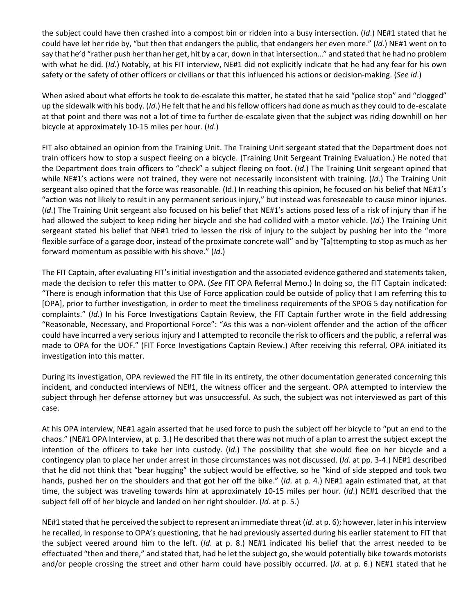the subject could have then crashed into a compost bin or ridden into a busy intersection. (Id.) NE#1 stated that he could have let her ride by, "but then that endangers the public, that endangers her even more." (Id.) NE#1 went on to say that he'd "rather push her than her get, hit by a car, down in that intersection…" and stated that he had no problem with what he did. (Id.) Notably, at his FIT interview, NE#1 did not explicitly indicate that he had any fear for his own safety or the safety of other officers or civilians or that this influenced his actions or decision-making. (See id.)

When asked about what efforts he took to de-escalate this matter, he stated that he said "police stop" and "clogged" up the sidewalk with his body. (Id.) He felt that he and his fellow officers had done as much as they could to de-escalate at that point and there was not a lot of time to further de-escalate given that the subject was riding downhill on her bicycle at approximately 10-15 miles per hour. (Id.)

FIT also obtained an opinion from the Training Unit. The Training Unit sergeant stated that the Department does not train officers how to stop a suspect fleeing on a bicycle. (Training Unit Sergeant Training Evaluation.) He noted that the Department does train officers to "check" a subject fleeing on foot. (Id.) The Training Unit sergeant opined that while NE#1's actions were not trained, they were not necessarily inconsistent with training. (Id.) The Training Unit sergeant also opined that the force was reasonable. (Id.) In reaching this opinion, he focused on his belief that NE#1's "action was not likely to result in any permanent serious injury," but instead was foreseeable to cause minor injuries. (Id.) The Training Unit sergeant also focused on his belief that NE#1's actions posed less of a risk of injury than if he had allowed the subject to keep riding her bicycle and she had collided with a motor vehicle. (Id.) The Training Unit sergeant stated his belief that NE#1 tried to lessen the risk of injury to the subject by pushing her into the "more flexible surface of a garage door, instead of the proximate concrete wall" and by "[a]ttempting to stop as much as her forward momentum as possible with his shove." (Id.)

The FIT Captain, after evaluating FIT's initial investigation and the associated evidence gathered and statements taken, made the decision to refer this matter to OPA. (See FIT OPA Referral Memo.) In doing so, the FIT Captain indicated: "There is enough information that this Use of Force application could be outside of policy that I am referring this to [OPA], prior to further investigation, in order to meet the timeliness requirements of the SPOG 5 day notification for complaints." (Id.) In his Force Investigations Captain Review, the FIT Captain further wrote in the field addressing "Reasonable, Necessary, and Proportional Force": "As this was a non-violent offender and the action of the officer could have incurred a very serious injury and I attempted to reconcile the risk to officers and the public, a referral was made to OPA for the UOF." (FIT Force Investigations Captain Review.) After receiving this referral, OPA initiated its investigation into this matter.

During its investigation, OPA reviewed the FIT file in its entirety, the other documentation generated concerning this incident, and conducted interviews of NE#1, the witness officer and the sergeant. OPA attempted to interview the subject through her defense attorney but was unsuccessful. As such, the subject was not interviewed as part of this case.

At his OPA interview, NE#1 again asserted that he used force to push the subject off her bicycle to "put an end to the chaos." (NE#1 OPA Interview, at p. 3.) He described that there was not much of a plan to arrest the subject except the intention of the officers to take her into custody. (Id.) The possibility that she would flee on her bicycle and a contingency plan to place her under arrest in those circumstances was not discussed. (Id. at pp. 3-4.) NE#1 described that he did not think that "bear hugging" the subject would be effective, so he "kind of side stepped and took two hands, pushed her on the shoulders and that got her off the bike." (Id. at p. 4.) NE#1 again estimated that, at that time, the subject was traveling towards him at approximately 10-15 miles per hour. (Id.) NE#1 described that the subject fell off of her bicycle and landed on her right shoulder. (Id. at p. 5.)

NE#1 stated that he perceived the subject to represent an immediate threat (id. at p. 6); however, later in his interview he recalled, in response to OPA's questioning, that he had previously asserted during his earlier statement to FIT that the subject veered around him to the left. (Id. at p. 8.) NE#1 indicated his belief that the arrest needed to be effectuated "then and there," and stated that, had he let the subject go, she would potentially bike towards motorists and/or people crossing the street and other harm could have possibly occurred. (Id. at p. 6.) NE#1 stated that he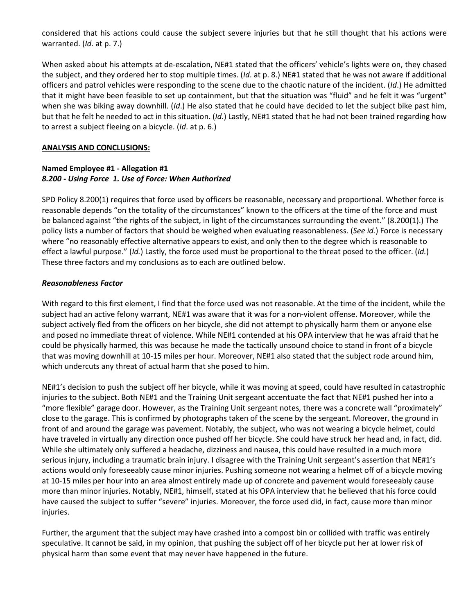considered that his actions could cause the subject severe injuries but that he still thought that his actions were warranted. (Id. at p. 7.)

When asked about his attempts at de-escalation, NE#1 stated that the officers' vehicle's lights were on, they chased the subject, and they ordered her to stop multiple times. ( $Id$ . at p. 8.) NE#1 stated that he was not aware if additional officers and patrol vehicles were responding to the scene due to the chaotic nature of the incident. (Id.) He admitted that it might have been feasible to set up containment, but that the situation was "fluid" and he felt it was "urgent" when she was biking away downhill. (Id.) He also stated that he could have decided to let the subject bike past him, but that he felt he needed to act in this situation. (Id.) Lastly, NE#1 stated that he had not been trained regarding how to arrest a subject fleeing on a bicycle. (Id. at p. 6.)

#### ANALYSIS AND CONCLUSIONS:

#### Named Employee #1 - Allegation #1 8.200 - Using Force 1. Use of Force: When Authorized

SPD Policy 8.200(1) requires that force used by officers be reasonable, necessary and proportional. Whether force is reasonable depends "on the totality of the circumstances" known to the officers at the time of the force and must be balanced against "the rights of the subject, in light of the circumstances surrounding the event." (8.200(1).) The policy lists a number of factors that should be weighed when evaluating reasonableness. (See id.) Force is necessary where "no reasonably effective alternative appears to exist, and only then to the degree which is reasonable to effect a lawful purpose." (Id.) Lastly, the force used must be proportional to the threat posed to the officer. (Id.) These three factors and my conclusions as to each are outlined below.

#### Reasonableness Factor

With regard to this first element, I find that the force used was not reasonable. At the time of the incident, while the subject had an active felony warrant, NE#1 was aware that it was for a non-violent offense. Moreover, while the subject actively fled from the officers on her bicycle, she did not attempt to physically harm them or anyone else and posed no immediate threat of violence. While NE#1 contended at his OPA interview that he was afraid that he could be physically harmed, this was because he made the tactically unsound choice to stand in front of a bicycle that was moving downhill at 10-15 miles per hour. Moreover, NE#1 also stated that the subject rode around him, which undercuts any threat of actual harm that she posed to him.

NE#1's decision to push the subject off her bicycle, while it was moving at speed, could have resulted in catastrophic injuries to the subject. Both NE#1 and the Training Unit sergeant accentuate the fact that NE#1 pushed her into a "more flexible" garage door. However, as the Training Unit sergeant notes, there was a concrete wall "proximately" close to the garage. This is confirmed by photographs taken of the scene by the sergeant. Moreover, the ground in front of and around the garage was pavement. Notably, the subject, who was not wearing a bicycle helmet, could have traveled in virtually any direction once pushed off her bicycle. She could have struck her head and, in fact, did. While she ultimately only suffered a headache, dizziness and nausea, this could have resulted in a much more serious injury, including a traumatic brain injury. I disagree with the Training Unit sergeant's assertion that NE#1's actions would only foreseeably cause minor injuries. Pushing someone not wearing a helmet off of a bicycle moving at 10-15 miles per hour into an area almost entirely made up of concrete and pavement would foreseeably cause more than minor injuries. Notably, NE#1, himself, stated at his OPA interview that he believed that his force could have caused the subject to suffer "severe" injuries. Moreover, the force used did, in fact, cause more than minor injuries.

Further, the argument that the subject may have crashed into a compost bin or collided with traffic was entirely speculative. It cannot be said, in my opinion, that pushing the subject off of her bicycle put her at lower risk of physical harm than some event that may never have happened in the future.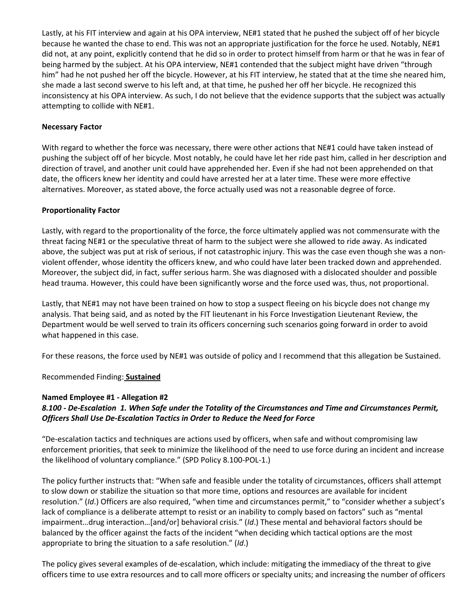Lastly, at his FIT interview and again at his OPA interview, NE#1 stated that he pushed the subject off of her bicycle because he wanted the chase to end. This was not an appropriate justification for the force he used. Notably, NE#1 did not, at any point, explicitly contend that he did so in order to protect himself from harm or that he was in fear of being harmed by the subject. At his OPA interview, NE#1 contended that the subject might have driven "through him" had he not pushed her off the bicycle. However, at his FIT interview, he stated that at the time she neared him, she made a last second swerve to his left and, at that time, he pushed her off her bicycle. He recognized this inconsistency at his OPA interview. As such, I do not believe that the evidence supports that the subject was actually attempting to collide with NE#1.

### Necessary Factor

With regard to whether the force was necessary, there were other actions that NE#1 could have taken instead of pushing the subject off of her bicycle. Most notably, he could have let her ride past him, called in her description and direction of travel, and another unit could have apprehended her. Even if she had not been apprehended on that date, the officers knew her identity and could have arrested her at a later time. These were more effective alternatives. Moreover, as stated above, the force actually used was not a reasonable degree of force.

### Proportionality Factor

Lastly, with regard to the proportionality of the force, the force ultimately applied was not commensurate with the threat facing NE#1 or the speculative threat of harm to the subject were she allowed to ride away. As indicated above, the subject was put at risk of serious, if not catastrophic injury. This was the case even though she was a nonviolent offender, whose identity the officers knew, and who could have later been tracked down and apprehended. Moreover, the subject did, in fact, suffer serious harm. She was diagnosed with a dislocated shoulder and possible head trauma. However, this could have been significantly worse and the force used was, thus, not proportional.

Lastly, that NE#1 may not have been trained on how to stop a suspect fleeing on his bicycle does not change my analysis. That being said, and as noted by the FIT lieutenant in his Force Investigation Lieutenant Review, the Department would be well served to train its officers concerning such scenarios going forward in order to avoid what happened in this case.

For these reasons, the force used by NE#1 was outside of policy and I recommend that this allegation be Sustained.

Recommended Finding: Sustained

#### Named Employee #1 - Allegation #2

# 8.100 - De-Escalation 1. When Safe under the Totality of the Circumstances and Time and Circumstances Permit, Officers Shall Use De-Escalation Tactics in Order to Reduce the Need for Force

"De-escalation tactics and techniques are actions used by officers, when safe and without compromising law enforcement priorities, that seek to minimize the likelihood of the need to use force during an incident and increase the likelihood of voluntary compliance." (SPD Policy 8.100-POL-1.)

The policy further instructs that: "When safe and feasible under the totality of circumstances, officers shall attempt to slow down or stabilize the situation so that more time, options and resources are available for incident resolution." (Id.) Officers are also required, "when time and circumstances permit," to "consider whether a subject's lack of compliance is a deliberate attempt to resist or an inability to comply based on factors" such as "mental impairment…drug interaction…[and/or] behavioral crisis." (Id.) These mental and behavioral factors should be balanced by the officer against the facts of the incident "when deciding which tactical options are the most appropriate to bring the situation to a safe resolution." (Id.)

The policy gives several examples of de-escalation, which include: mitigating the immediacy of the threat to give officers time to use extra resources and to call more officers or specialty units; and increasing the number of officers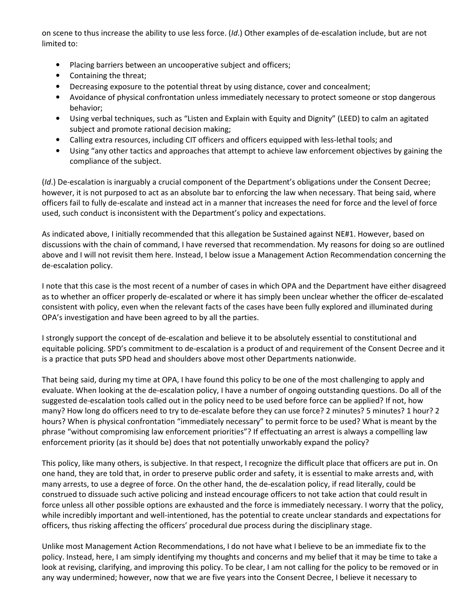on scene to thus increase the ability to use less force. (Id.) Other examples of de-escalation include, but are not limited to:

- Placing barriers between an uncooperative subject and officers;
- Containing the threat;
- Decreasing exposure to the potential threat by using distance, cover and concealment;
- Avoidance of physical confrontation unless immediately necessary to protect someone or stop dangerous behavior;
- Using verbal techniques, such as "Listen and Explain with Equity and Dignity" (LEED) to calm an agitated subject and promote rational decision making;
- Calling extra resources, including CIT officers and officers equipped with less-lethal tools; and
- Using "any other tactics and approaches that attempt to achieve law enforcement objectives by gaining the compliance of the subject.

(Id.) De-escalation is inarguably a crucial component of the Department's obligations under the Consent Decree; however, it is not purposed to act as an absolute bar to enforcing the law when necessary. That being said, where officers fail to fully de-escalate and instead act in a manner that increases the need for force and the level of force used, such conduct is inconsistent with the Department's policy and expectations.

As indicated above, I initially recommended that this allegation be Sustained against NE#1. However, based on discussions with the chain of command, I have reversed that recommendation. My reasons for doing so are outlined above and I will not revisit them here. Instead, I below issue a Management Action Recommendation concerning the de-escalation policy.

I note that this case is the most recent of a number of cases in which OPA and the Department have either disagreed as to whether an officer properly de-escalated or where it has simply been unclear whether the officer de-escalated consistent with policy, even when the relevant facts of the cases have been fully explored and illuminated during OPA's investigation and have been agreed to by all the parties.

I strongly support the concept of de-escalation and believe it to be absolutely essential to constitutional and equitable policing. SPD's commitment to de-escalation is a product of and requirement of the Consent Decree and it is a practice that puts SPD head and shoulders above most other Departments nationwide.

That being said, during my time at OPA, I have found this policy to be one of the most challenging to apply and evaluate. When looking at the de-escalation policy, I have a number of ongoing outstanding questions. Do all of the suggested de-escalation tools called out in the policy need to be used before force can be applied? If not, how many? How long do officers need to try to de-escalate before they can use force? 2 minutes? 5 minutes? 1 hour? 2 hours? When is physical confrontation "immediately necessary" to permit force to be used? What is meant by the phrase "without compromising law enforcement priorities"? If effectuating an arrest is always a compelling law enforcement priority (as it should be) does that not potentially unworkably expand the policy?

This policy, like many others, is subjective. In that respect, I recognize the difficult place that officers are put in. On one hand, they are told that, in order to preserve public order and safety, it is essential to make arrests and, with many arrests, to use a degree of force. On the other hand, the de-escalation policy, if read literally, could be construed to dissuade such active policing and instead encourage officers to not take action that could result in force unless all other possible options are exhausted and the force is immediately necessary. I worry that the policy, while incredibly important and well-intentioned, has the potential to create unclear standards and expectations for officers, thus risking affecting the officers' procedural due process during the disciplinary stage.

Unlike most Management Action Recommendations, I do not have what I believe to be an immediate fix to the policy. Instead, here, I am simply identifying my thoughts and concerns and my belief that it may be time to take a look at revising, clarifying, and improving this policy. To be clear, I am not calling for the policy to be removed or in any way undermined; however, now that we are five years into the Consent Decree, I believe it necessary to